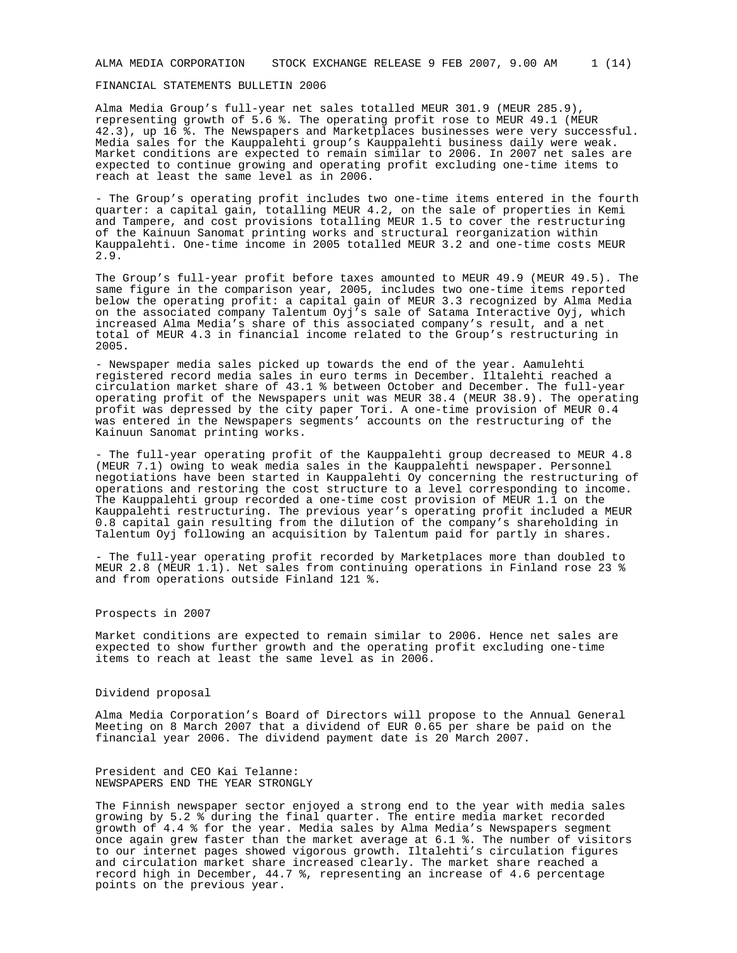#### FINANCIAL STATEMENTS BULLETIN 2006

Alma Media Group's full-year net sales totalled MEUR 301.9 (MEUR 285.9), representing growth of 5.6 %. The operating profit rose to MEUR 49.1 (MEUR 42.3), up 16 %. The Newspapers and Marketplaces businesses were very successful. Media sales for the Kauppalehti group's Kauppalehti business daily were weak. Market conditions are expected to remain similar to 2006. In 2007 net sales are expected to continue growing and operating profit excluding one-time items to reach at least the same level as in 2006.

- The Group's operating profit includes two one-time items entered in the fourth quarter: a capital gain, totalling MEUR 4.2, on the sale of properties in Kemi and Tampere, and cost provisions totalling MEUR 1.5 to cover the restructuring of the Kainuun Sanomat printing works and structural reorganization within Kauppalehti. One-time income in 2005 totalled MEUR 3.2 and one-time costs MEUR 2.9.

The Group's full-year profit before taxes amounted to MEUR 49.9 (MEUR 49.5). The same figure in the comparison year, 2005, includes two one-time items reported below the operating profit: a capital gain of MEUR 3.3 recognized by Alma Media on the associated company Talentum Oyj's sale of Satama Interactive Oyj, which increased Alma Media's share of this associated company's result, and a net total of MEUR 4.3 in financial income related to the Group's restructuring in 2005.

- Newspaper media sales picked up towards the end of the year. Aamulehti registered record media sales in euro terms in December. Iltalehti reached a circulation market share of 43.1 % between October and December. The full-year operating profit of the Newspapers unit was MEUR 38.4 (MEUR 38.9). The operating profit was depressed by the city paper Tori. A one-time provision of MEUR 0.4 was entered in the Newspapers segments' accounts on the restructuring of the Kainuun Sanomat printing works.

- The full-year operating profit of the Kauppalehti group decreased to MEUR 4.8 (MEUR 7.1) owing to weak media sales in the Kauppalehti newspaper. Personnel negotiations have been started in Kauppalehti Oy concerning the restructuring of operations and restoring the cost structure to a level corresponding to income. The Kauppalehti group recorded a one-time cost provision of MEUR 1.1 on the Kauppalehti restructuring. The previous year's operating profit included a MEUR 0.8 capital gain resulting from the dilution of the company's shareholding in Talentum Oyj following an acquisition by Talentum paid for partly in shares.

- The full-year operating profit recorded by Marketplaces more than doubled to MEUR 2.8 (MEUR 1.1). Net sales from continuing operations in Finland rose 23 % and from operations outside Finland 121 %.

# Prospects in 2007

Market conditions are expected to remain similar to 2006. Hence net sales are expected to show further growth and the operating profit excluding one-time items to reach at least the same level as in 2006.

# Dividend proposal

Alma Media Corporation's Board of Directors will propose to the Annual General Meeting on 8 March 2007 that a dividend of EUR 0.65 per share be paid on the financial year 2006. The dividend payment date is 20 March 2007.

President and CEO Kai Telanne: NEWSPAPERS END THE YEAR STRONGLY

The Finnish newspaper sector enjoyed a strong end to the year with media sales growing by 5.2 % during the final quarter. The entire media market recorded growth of 4.4 % for the year. Media sales by Alma Media's Newspapers segment once again grew faster than the market average at 6.1 %. The number of visitors to our internet pages showed vigorous growth. Iltalehti's circulation figures and circulation market share increased clearly. The market share reached a record high in December, 44.7 %, representing an increase of 4.6 percentage points on the previous year.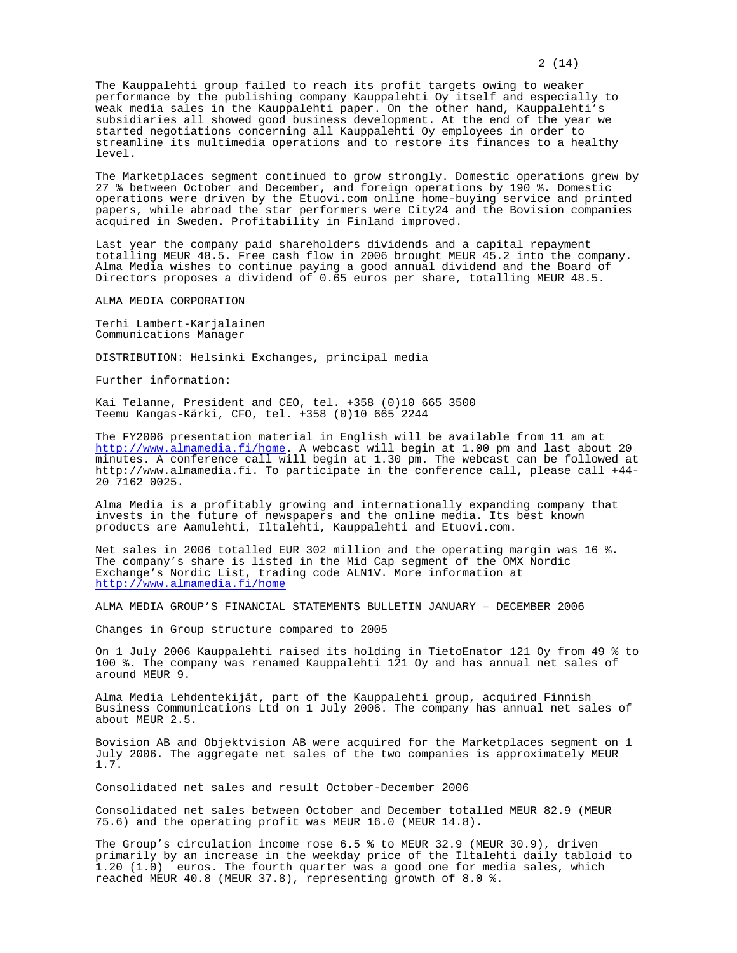The Kauppalehti group failed to reach its profit targets owing to weaker performance by the publishing company Kauppalehti Oy itself and especially to weak media sales in the Kauppalehti paper. On the other hand, Kauppalehti's subsidiaries all showed good business development. At the end of the year we started negotiations concerning all Kauppalehti Oy employees in order to streamline its multimedia operations and to restore its finances to a healthy level.

The Marketplaces segment continued to grow strongly. Domestic operations grew by 27 % between October and December, and foreign operations by 190 %. Domestic operations were driven by the Etuovi.com online home-buying service and printed papers, while abroad the star performers were City24 and the Bovision companies acquired in Sweden. Profitability in Finland improved.

Last year the company paid shareholders dividends and a capital repayment totalling MEUR 48.5. Free cash flow in 2006 brought MEUR 45.2 into the company. Alma Media wishes to continue paying a good annual dividend and the Board of Directors proposes a dividend of 0.65 euros per share, totalling MEUR 48.5.

ALMA MEDIA CORPORATION

Terhi Lambert-Karjalainen Communications Manager

DISTRIBUTION: Helsinki Exchanges, principal media

Further information:

Kai Telanne, President and CEO, tel. +358 (0)10 665 3500 Teemu Kangas-Kärki, CFO, tel. +358 (0)10 665 2244

The FY2006 presentation material in English will be available from 11 am at http://www.almamedia.fi/home. A webcast will begin at 1.00 pm and last about 20 minutes. A conference call will begin at 1.30 pm. The webcast can be followed at http://www.almamedia.fi. To participate in the conference call, please call +44- 20 7162 0025.

Alma Media is a profitably growing and internationally expanding company that invests in the future of newspapers and the online media. Its best known products are Aamulehti, Iltalehti, Kauppalehti and Etuovi.com.

Net sales in 2006 totalled EUR 302 million and the operating margin was 16 %. The company's share is listed in the Mid Cap segment of the OMX Nordic Exchange's Nordic List, trading code ALN1V. More information at http://www.almamedia.fi/home

ALMA MEDIA GROUP'S FINANCIAL STATEMENTS BULLETIN JANUARY – DECEMBER 2006

Changes in Group structure compared to 2005

On 1 July 2006 Kauppalehti raised its holding in TietoEnator 121 Oy from 49 % to 100 %. The company was renamed Kauppalehti 121 Oy and has annual net sales of around MEUR 9.

Alma Media Lehdentekijät, part of the Kauppalehti group, acquired Finnish Business Communications Ltd on 1 July 2006. The company has annual net sales of about MEUR 2.5.

Bovision AB and Objektvision AB were acquired for the Marketplaces segment on 1 July 2006. The aggregate net sales of the two companies is approximately MEUR 1.7.

Consolidated net sales and result October-December 2006

Consolidated net sales between October and December totalled MEUR 82.9 (MEUR 75.6) and the operating profit was MEUR 16.0 (MEUR 14.8).

The Group's circulation income rose 6.5 % to MEUR 32.9 (MEUR 30.9), driven primarily by an increase in the weekday price of the Iltalehti daily tabloid to 1.20 (1.0) euros. The fourth quarter was a good one for media sales, which reached MEUR 40.8 (MEUR 37.8), representing growth of 8.0 %.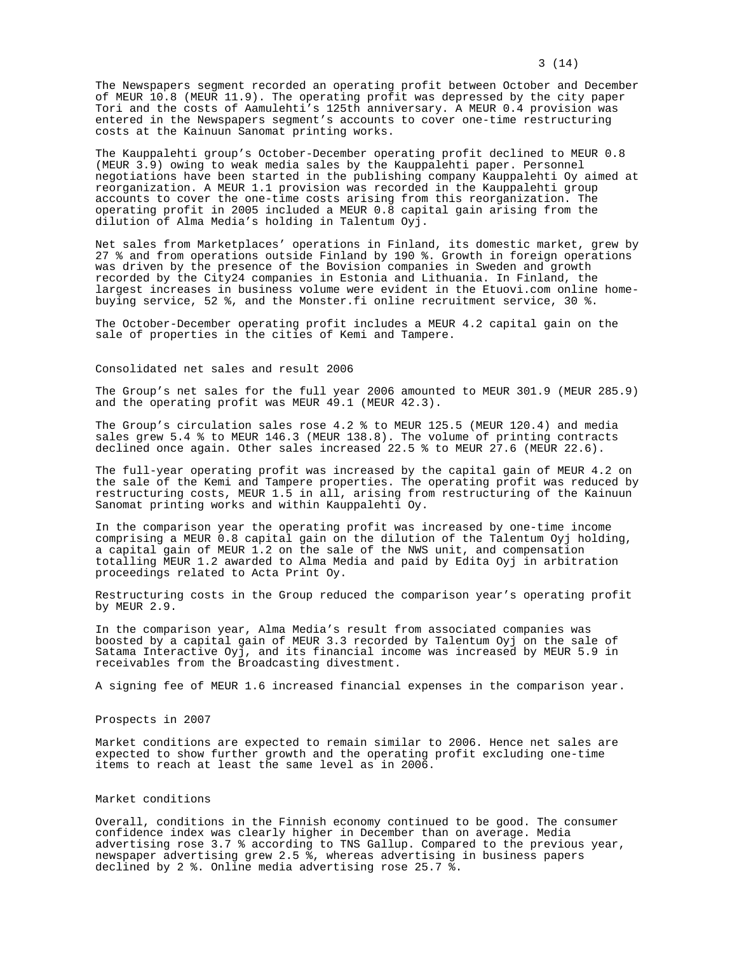The Newspapers segment recorded an operating profit between October and December of MEUR 10.8 (MEUR 11.9). The operating profit was depressed by the city paper Tori and the costs of Aamulehti's 125th anniversary. A MEUR 0.4 provision was entered in the Newspapers segment's accounts to cover one-time restructuring costs at the Kainuun Sanomat printing works.

The Kauppalehti group's October-December operating profit declined to MEUR 0.8 (MEUR 3.9) owing to weak media sales by the Kauppalehti paper. Personnel negotiations have been started in the publishing company Kauppalehti Oy aimed at reorganization. A MEUR 1.1 provision was recorded in the Kauppalehti group accounts to cover the one-time costs arising from this reorganization. The operating profit in 2005 included a MEUR 0.8 capital gain arising from the dilution of Alma Media's holding in Talentum Oyj.

Net sales from Marketplaces' operations in Finland, its domestic market, grew by 27 % and from operations outside Finland by 190 %. Growth in foreign operations was driven by the presence of the Bovision companies in Sweden and growth recorded by the City24 companies in Estonia and Lithuania. In Finland, the largest increases in business volume were evident in the Etuovi.com online homebuying service, 52 %, and the Monster.fi online recruitment service, 30 %.

The October-December operating profit includes a MEUR 4.2 capital gain on the sale of properties in the cities of Kemi and Tampere.

### Consolidated net sales and result 2006

The Group's net sales for the full year 2006 amounted to MEUR 301.9 (MEUR 285.9) and the operating profit was MEUR 49.1 (MEUR 42.3).

The Group's circulation sales rose 4.2 % to MEUR 125.5 (MEUR 120.4) and media sales grew 5.4 % to MEUR 146.3 (MEUR 138.8). The volume of printing contracts declined once again. Other sales increased 22.5 % to MEUR  $27.6$  (MEUR 22.6).

The full-year operating profit was increased by the capital gain of MEUR 4.2 on the sale of the Kemi and Tampere properties. The operating profit was reduced by restructuring costs, MEUR 1.5 in all, arising from restructuring of the Kainuun Sanomat printing works and within Kauppalehti Oy.

In the comparison year the operating profit was increased by one-time income comprising a MEUR 0.8 capital gain on the dilution of the Talentum Oyj holding, a capital gain of MEUR 1.2 on the sale of the NWS unit, and compensation totalling MEUR 1.2 awarded to Alma Media and paid by Edita Oyj in arbitration proceedings related to Acta Print Oy.

Restructuring costs in the Group reduced the comparison year's operating profit by MEUR 2.9.

In the comparison year, Alma Media's result from associated companies was boosted by a capital gain of MEUR 3.3 recorded by Talentum Oyj on the sale of Satama Interactive Oyj, and its financial income was increased by MEUR 5.9 in receivables from the Broadcasting divestment.

A signing fee of MEUR 1.6 increased financial expenses in the comparison year.

#### Prospects in 2007

Market conditions are expected to remain similar to 2006. Hence net sales are expected to show further growth and the operating profit excluding one-time items to reach at least the same level as in 2006.

# Market conditions

Overall, conditions in the Finnish economy continued to be good. The consumer confidence index was clearly higher in December than on average. Media advertising rose 3.7 % according to TNS Gallup. Compared to the previous year, newspaper advertising grew 2.5 %, whereas advertising in business papers declined by 2 %. Online media advertising rose 25.7 %.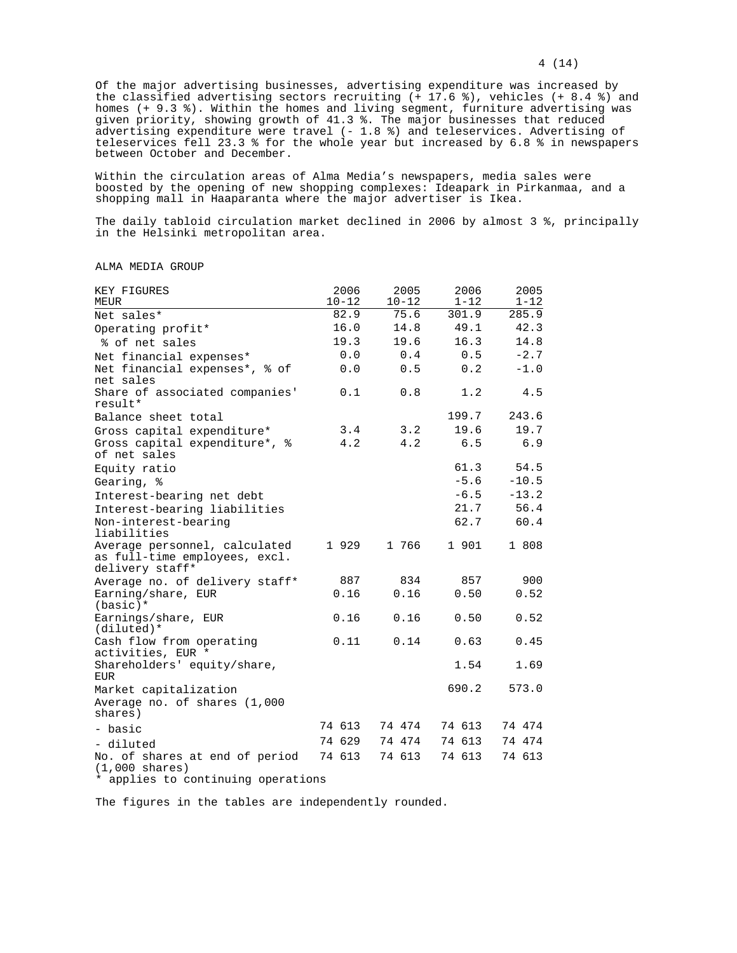Of the major advertising businesses, advertising expenditure was increased by the classified advertising sectors recruiting (+ 17.6 %), vehicles (+ 8.4 %) and homes (+ 9.3 %). Within the homes and living segment, furniture advertising was given priority, showing growth of 41.3 %. The major businesses that reduced advertising expenditure were travel (- 1.8 %) and teleservices. Advertising of teleservices fell 23.3 % for the whole year but increased by 6.8 % in newspapers between October and December.

Within the circulation areas of Alma Media's newspapers, media sales were boosted by the opening of new shopping complexes: Ideapark in Pirkanmaa, and a shopping mall in Haaparanta where the major advertiser is Ikea.

The daily tabloid circulation market declined in 2006 by almost 3 %, principally in the Helsinki metropolitan area.

ALMA MEDIA GROUP

| KEY FIGURES<br>MEUR                                                                              | 2006<br>$10 - 12$ | 2005<br>$10 - 12$ | 2006<br>$1 - 12$ | 2005<br>$1 - 12$ |
|--------------------------------------------------------------------------------------------------|-------------------|-------------------|------------------|------------------|
| Net sales*                                                                                       | 82.9              | 75.6              | 301.9            | 285.9            |
| Operating profit*                                                                                | 16.0              | 14.8              | 49.1             | 42.3             |
| % of net sales                                                                                   | 19.3              | 19.6              | 16.3             | 14.8             |
| Net financial expenses*                                                                          | 0.0               | 0.4               | 0.5              | $-2.7$           |
| Net financial expenses*, % of<br>net sales                                                       | 0.0               | 0.5               | 0.2              | $-1.0$           |
| Share of associated companies'<br>result*                                                        | 0.1               | 0.8               | 1.2              | 4.5              |
| Balance sheet total                                                                              |                   |                   | 199.7            | 243.6            |
| Gross capital expenditure*                                                                       | 3.4               | 3.2               | 19.6             | 19.7             |
| Gross capital expenditure*, %<br>of net sales                                                    | 4.2               | 4.2               | 6.5              | 6.9              |
| Equity ratio                                                                                     |                   |                   | 61.3             | 54.5             |
| Gearing, %                                                                                       |                   |                   | $-5.6$           | $-10.5$          |
| Interest-bearing net debt                                                                        |                   |                   | $-6.5$           | $-13.2$          |
| Interest-bearing liabilities                                                                     |                   |                   | 21.7             | 56.4             |
| Non-interest-bearing<br>liabilities                                                              |                   |                   | 62.7             | 60.4             |
| Average personnel, calculated<br>as full-time employees, excl.<br>delivery staff*                | 1929              | 1 766             | 1 901            | 1 808            |
| Average no. of delivery staff*                                                                   | 887               | 834               | 857              | 900              |
| Earning/share, EUR<br>$(basic)*$                                                                 | 0.16              | 0.16              | 0.50             | 0.52             |
| Earnings/share, EUR<br>$(diluted)*$                                                              | 0.16              | 0.16              | 0.50             | 0.52             |
| Cash flow from operating<br>activities, EUR *                                                    | 0.11              | 0.14              | 0.63             | 0.45             |
| Shareholders' equity/share,<br><b>EUR</b>                                                        |                   |                   | 1.54             | 1.69             |
| Market capitalization<br>Average no. of shares (1,000<br>shares)                                 |                   |                   | 690.2            | 573.0            |
| - basic                                                                                          | 74 613            | 74 474            | 74 613           | 74 474           |
| - diluted                                                                                        | 74 629            | 74 474            | 74 613           | 74 474           |
| No. of shares at end of period<br>$(1,000 \text{ shares})$<br>* applies to continuing operations | 74 613            | 74 613            | 74 613           | 74 613           |
|                                                                                                  |                   |                   |                  |                  |

The figures in the tables are independently rounded.

### 4 (14)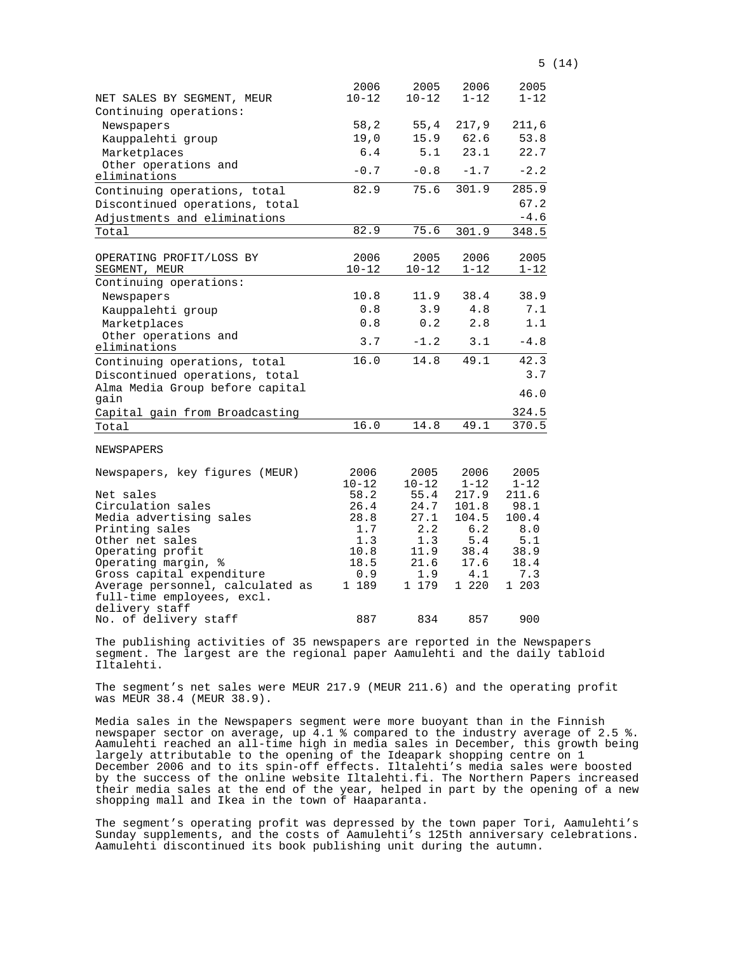|                                                  | 2006              | 2005              | 2006             | 2005             |
|--------------------------------------------------|-------------------|-------------------|------------------|------------------|
| NET SALES BY SEGMENT, MEUR                       | $10 - 12$         | $10 - 12$         | $1 - 12$         | $1 - 12$         |
| Continuing operations:                           |                   |                   |                  |                  |
| Newspapers                                       | 58,2              | 55, 4             | 217,9            | 211,6            |
| Kauppalehti group                                | 19,0              | 15.9              | 62.6             | 53.8             |
| Marketplaces                                     | 6.4               | 5.1               | 23.1             | 22.7             |
| Other operations and                             | $-0.7$            | $-0.8$            | $-1.7$           | $-2.2$           |
| eliminations                                     |                   |                   |                  |                  |
| Continuing operations, total                     | 82.9              | 75.6              | 301.9            | 285.9            |
| Discontinued operations, total                   |                   |                   |                  | 67.2             |
| Adjustments and eliminations                     |                   |                   |                  | $-4.6$           |
| Total                                            | 82.9              | 75.6              | 301.9            | 348.5            |
|                                                  |                   |                   |                  |                  |
| OPERATING PROFIT/LOSS BY                         | 2006              | 2005              | 2006             | 2005             |
| SEGMENT, MEUR                                    | $10 - 12$         | $10 - 12$         | $1 - 12$         | $1 - 12$         |
| Continuing operations:                           |                   |                   |                  |                  |
| Newspapers                                       | 10.8              | 11.9              | 38.4             | 38.9             |
| Kauppalehti group                                | 0.8               | 3.9               | 4.8              | 7.1              |
| Marketplaces                                     | 0.8               | 0.2               | 2.8              | 1.1              |
| Other operations and<br>eliminations             | 3.7               | $-1.2$            | 3.1              | $-4.8$           |
| Continuing operations, total                     | 16.0              | 14.8              | 49.1             | 42.3             |
| Discontinued operations, total                   |                   |                   |                  | 3.7              |
| Alma Media Group before capital                  |                   |                   |                  |                  |
| gain                                             |                   |                   |                  | 46.0             |
| Capital gain from Broadcasting                   |                   |                   |                  | 324.5            |
| Total                                            | 16.0              | 14.8              | 49.1             | 370.5            |
| NEWSPAPERS                                       |                   |                   |                  |                  |
|                                                  |                   |                   |                  |                  |
| Newspapers, key figures (MEUR)                   | 2006<br>$10 - 12$ | 2005<br>$10 - 12$ | 2006<br>$1 - 12$ | 2005<br>$1 - 12$ |
| Net sales                                        | 58.2              | 55.4              | 217.9            | 211.6            |
| Circulation sales                                | 26.4              | 24.7              | 101.8            | 98.1             |
| Media advertising sales                          | 28.8              | 27.1              | 104.5            | 100.4            |
| Printing sales                                   | 1.7               | 2.2               | 6.2              | 8.0              |
| Other net sales                                  | 1.3               | 1.3               | $5.4$            | 5.1              |
| Operating profit                                 | 10.8<br>18.5      | 11.9<br>21.6      | 38.4<br>17.6     | 38.9<br>18.4     |
| Operating margin, %<br>Gross capital expenditure | 0.9               | 1.9               | 4.1              | 7.3              |
| Average personnel, calculated as                 | 1 189             | 1 179             | 1 220            | 1 203            |
| full-time employees, excl.                       |                   |                   |                  |                  |
| delivery staff                                   |                   |                   |                  |                  |

The publishing activities of 35 newspapers are reported in the Newspapers segment. The largest are the regional paper Aamulehti and the daily tabloid Iltalehti.

No. of delivery staff 887 834 857 900

The segment's net sales were MEUR 217.9 (MEUR 211.6) and the operating profit was MEUR 38.4 (MEUR 38.9).

Media sales in the Newspapers segment were more buoyant than in the Finnish newspaper sector on average, up 4.1 % compared to the industry average of 2.5 %. Aamulehti reached an all-time high in media sales in December, this growth being largely attributable to the opening of the Ideapark shopping centre on 1 December 2006 and to its spin-off effects. Iltalehti's media sales were boosted by the success of the online website Iltalehti.fi. The Northern Papers increased their media sales at the end of the year, helped in part by the opening of a new shopping mall and Ikea in the town of Haaparanta.

The segment's operating profit was depressed by the town paper Tori, Aamulehti's Sunday supplements, and the costs of Aamulehti's 125th anniversary celebrations. Aamulehti discontinued its book publishing unit during the autumn.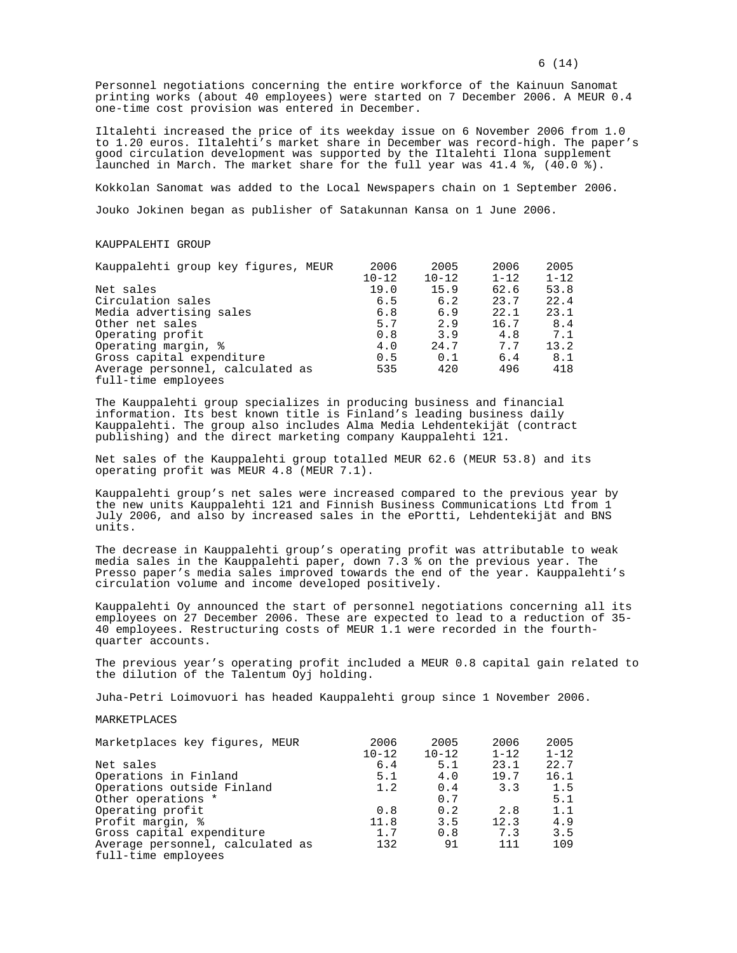Personnel negotiations concerning the entire workforce of the Kainuun Sanomat printing works (about 40 employees) were started on 7 December 2006. A MEUR 0.4 one-time cost provision was entered in December.

Iltalehti increased the price of its weekday issue on 6 November 2006 from 1.0 to 1.20 euros. Iltalehti's market share in December was record-high. The paper's good circulation development was supported by the Iltalehti Ilona supplement launched in March. The market share for the full year was 41.4 %, (40.0 %).

Kokkolan Sanomat was added to the Local Newspapers chain on 1 September 2006. Jouko Jokinen began as publisher of Satakunnan Kansa on 1 June 2006.

#### KAUPPALEHTI GROUP

| Kauppalehti group key figures, MEUR | 2006      | 2005      | 2006     | 2005     |
|-------------------------------------|-----------|-----------|----------|----------|
|                                     | $10 - 12$ | $10 - 12$ | $1 - 12$ | $1 - 12$ |
| Net sales                           | 19.0      | 15.9      | 62.6     | 53.8     |
| Circulation sales                   | 6.5       | 6.2       | 23.7     | 22.4     |
| Media advertising sales             | 6.8       | 6.9       | 22.1     | 23.1     |
| Other net sales                     | 5.7       | 2.9       | 16.7     | 8.4      |
| Operating profit                    | 0.8       | 3.9       | 4.8      | 7.1      |
| Operating margin, %                 | 4.0       | 24.7      | 7.7      | 13.2     |
| Gross capital expenditure           | 0.5       | 0.1       | 6.4      | 8.1      |
| Average personnel, calculated as    | 535       | 420       | 496      | 418      |
| full-time employees                 |           |           |          |          |

The Kauppalehti group specializes in producing business and financial information. Its best known title is Finland's leading business daily Kauppalehti. The group also includes Alma Media Lehdentekijät (contract publishing) and the direct marketing company Kauppalehti 121.

Net sales of the Kauppalehti group totalled MEUR 62.6 (MEUR 53.8) and its operating profit was MEUR 4.8 (MEUR 7.1).

Kauppalehti group's net sales were increased compared to the previous year by the new units Kauppalehti 121 and Finnish Business Communications Ltd from 1 July 2006, and also by increased sales in the ePortti, Lehdentekijät and BNS units.

The decrease in Kauppalehti group's operating profit was attributable to weak media sales in the Kauppalehti paper, down 7.3 % on the previous year. The Presso paper's media sales improved towards the end of the year. Kauppalehti's circulation volume and income developed positively.

Kauppalehti Oy announced the start of personnel negotiations concerning all its employees on 27 December 2006. These are expected to lead to a reduction of 35- 40 employees. Restructuring costs of MEUR 1.1 were recorded in the fourthquarter accounts.

The previous year's operating profit included a MEUR 0.8 capital gain related to the dilution of the Talentum Oyj holding.

Juha-Petri Loimovuori has headed Kauppalehti group since 1 November 2006.

#### MARKETPLACES

| Marketplaces key figures, MEUR   | 2006      | 2005      | 2006     | 2005     |
|----------------------------------|-----------|-----------|----------|----------|
|                                  | $10 - 12$ | $10 - 12$ | $1 - 12$ | $1 - 12$ |
| Net sales                        | 6.4       | 5.1       | 23.1     | 22.7     |
| Operations in Finland            | 5.1       | 4.0       | 19.7     | 16.1     |
| Operations outside Finland       | 1.2       | 0.4       | 3.3      | 1.5      |
| Other operations *               |           | 0.7       |          | 5.1      |
| Operating profit                 | 0.8       | 0.2       | 2.8      | 1.1      |
| Profit margin, %                 | 11.8      | 3.5       | 12.3     | 4.9      |
| Gross capital expenditure        | 1.7       | 0.8       | 7.3      | 3.5      |
| Average personnel, calculated as | 132       | 91        | 111      | 109      |
| full-time employees              |           |           |          |          |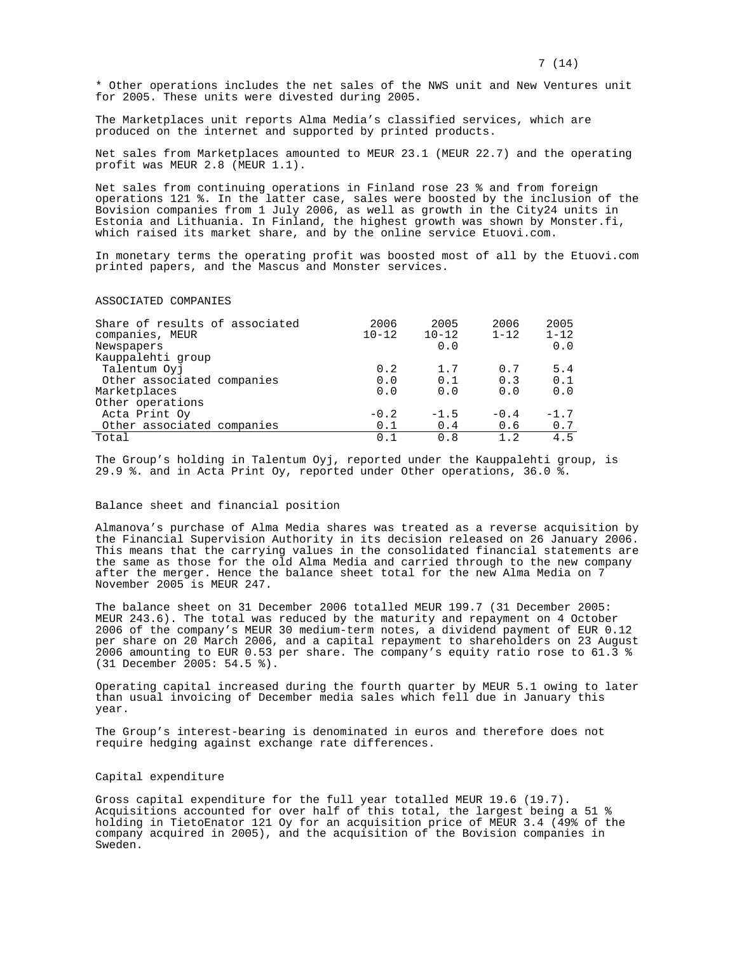7 (14)

\* Other operations includes the net sales of the NWS unit and New Ventures unit for 2005. These units were divested during 2005.

The Marketplaces unit reports Alma Media's classified services, which are produced on the internet and supported by printed products.

Net sales from Marketplaces amounted to MEUR 23.1 (MEUR 22.7) and the operating profit was MEUR 2.8 (MEUR 1.1).

Net sales from continuing operations in Finland rose 23 % and from foreign operations 121 %. In the latter case, sales were boosted by the inclusion of the Bovision companies from 1 July 2006, as well as growth in the City24 units in Estonia and Lithuania. In Finland, the highest growth was shown by Monster.fi, which raised its market share, and by the online service Etuovi.com.

In monetary terms the operating profit was boosted most of all by the Etuovi.com printed papers, and the Mascus and Monster services.

#### ASSOCIATED COMPANIES

| Share of results of associated<br>companies, MEUR | 2006<br>$10 - 12$ | 2005<br>$10 - 12$ | 2006<br>$1 - 12$ | 2005<br>$1 - 12$ |
|---------------------------------------------------|-------------------|-------------------|------------------|------------------|
| Newspapers                                        |                   | 0.0               |                  | 0.0              |
| Kauppalehti group                                 |                   |                   |                  |                  |
| Talentum Oyj                                      | 0.2               | 1.7               | 0.7              | 5.4              |
| Other associated companies                        | 0.0               | 0.1               | 0.3              | 0.1              |
| Marketplaces                                      | 0.0               | 0.0               | 0.0              | 0.0              |
| Other operations                                  |                   |                   |                  |                  |
| Acta Print Oy                                     | $-0.2$            | $-1.5$            | $-0.4$           | $-1.7$           |
| Other associated companies                        | 0.1               | 0.4               | 0.6              | 0.7              |
| Total                                             | 0.1               | 0.8               | 1.2              | 4.5              |

The Group's holding in Talentum Oyj, reported under the Kauppalehti group, is 29.9 %. and in Acta Print Oy, reported under Other operations, 36.0 %.

#### Balance sheet and financial position

Almanova's purchase of Alma Media shares was treated as a reverse acquisition by the Financial Supervision Authority in its decision released on 26 January 2006. This means that the carrying values in the consolidated financial statements are the same as those for the old Alma Media and carried through to the new company after the merger. Hence the balance sheet total for the new Alma Media on 7 November 2005 is MEUR 247.

The balance sheet on 31 December 2006 totalled MEUR 199.7 (31 December 2005: MEUR 243.6). The total was reduced by the maturity and repayment on 4 October 2006 of the company's MEUR 30 medium-term notes, a dividend payment of EUR 0.12 per share on 20 March 2006, and a capital repayment to shareholders on 23 August 2006 amounting to EUR 0.53 per share. The company's equity ratio rose to 61.3 % (31 December 2005: 54.5 %).

Operating capital increased during the fourth quarter by MEUR 5.1 owing to later than usual invoicing of December media sales which fell due in January this year.

The Group's interest-bearing is denominated in euros and therefore does not require hedging against exchange rate differences.

#### Capital expenditure

Gross capital expenditure for the full year totalled MEUR 19.6 (19.7). Acquisitions accounted for over half of this total, the largest being a 51 % holding in TietoEnator 121 Oy for an acquisition price of MEUR 3.4 (49% of the company acquired in 2005), and the acquisition of the Bovision companies in Sweden.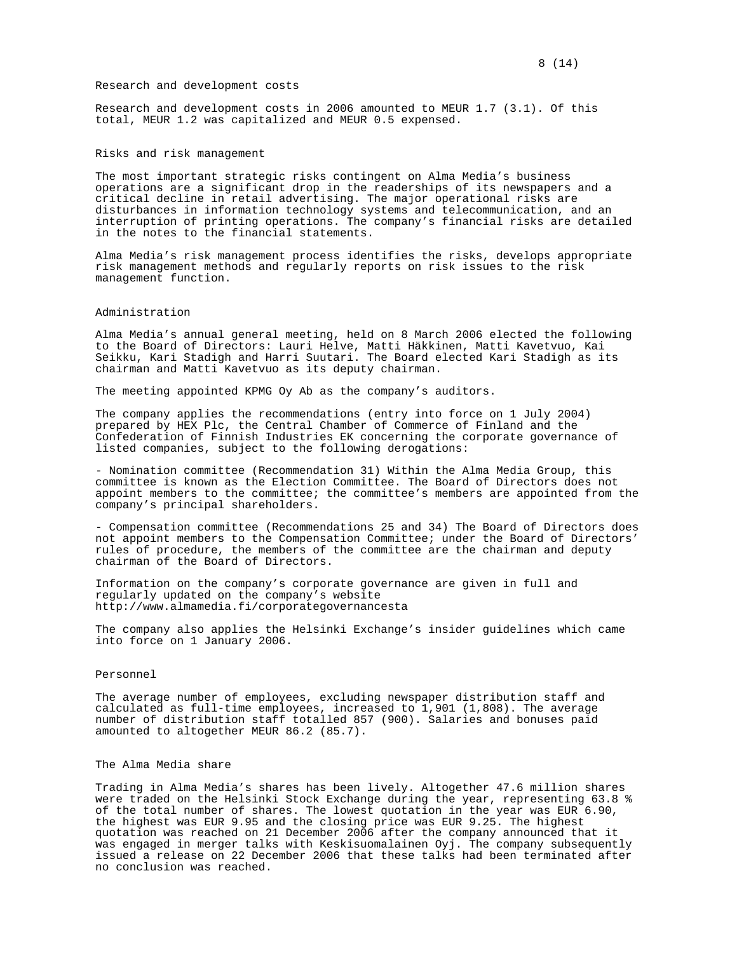# Research and development costs

Research and development costs in 2006 amounted to MEUR 1.7 (3.1). Of this total, MEUR 1.2 was capitalized and MEUR 0.5 expensed.

Risks and risk management

The most important strategic risks contingent on Alma Media's business operations are a significant drop in the readerships of its newspapers and a critical decline in retail advertising. The major operational risks are disturbances in information technology systems and telecommunication, and an interruption of printing operations. The company's financial risks are detailed in the notes to the financial statements.

Alma Media's risk management process identifies the risks, develops appropriate risk management methods and regularly reports on risk issues to the risk management function.

# Administration

Alma Media's annual general meeting, held on 8 March 2006 elected the following to the Board of Directors: Lauri Helve, Matti Häkkinen, Matti Kavetvuo, Kai Seikku, Kari Stadigh and Harri Suutari. The Board elected Kari Stadigh as its chairman and Matti Kavetvuo as its deputy chairman.

The meeting appointed KPMG Oy Ab as the company's auditors.

The company applies the recommendations (entry into force on 1 July 2004) prepared by HEX Plc, the Central Chamber of Commerce of Finland and the Confederation of Finnish Industries EK concerning the corporate governance of listed companies, subject to the following derogations:

- Nomination committee (Recommendation 31) Within the Alma Media Group, this committee is known as the Election Committee. The Board of Directors does not appoint members to the committee; the committee's members are appointed from the company's principal shareholders.

- Compensation committee (Recommendations 25 and 34) The Board of Directors does not appoint members to the Compensation Committee; under the Board of Directors' rules of procedure, the members of the committee are the chairman and deputy chairman of the Board of Directors.

Information on the company's corporate governance are given in full and regularly updated on the company's website http://www.almamedia.fi/corporategovernancesta

The company also applies the Helsinki Exchange's insider guidelines which came into force on 1 January 2006.

### Personnel

The average number of employees, excluding newspaper distribution staff and calculated as full-time employees, increased to  $1,901$  (1,808). The average number of distribution staff totalled 857 (900). Salaries and bonuses paid amounted to altogether MEUR 86.2 (85.7).

#### The Alma Media share

Trading in Alma Media's shares has been lively. Altogether 47.6 million shares were traded on the Helsinki Stock Exchange during the year, representing 63.8 % of the total number of shares. The lowest quotation in the year was EUR 6.90, the highest was EUR 9.95 and the closing price was EUR 9.25. The highest quotation was reached on 21 December 2006 after the company announced that it was engaged in merger talks with Keskisuomalainen Oyj. The company subsequently issued a release on 22 December 2006 that these talks had been terminated after no conclusion was reached.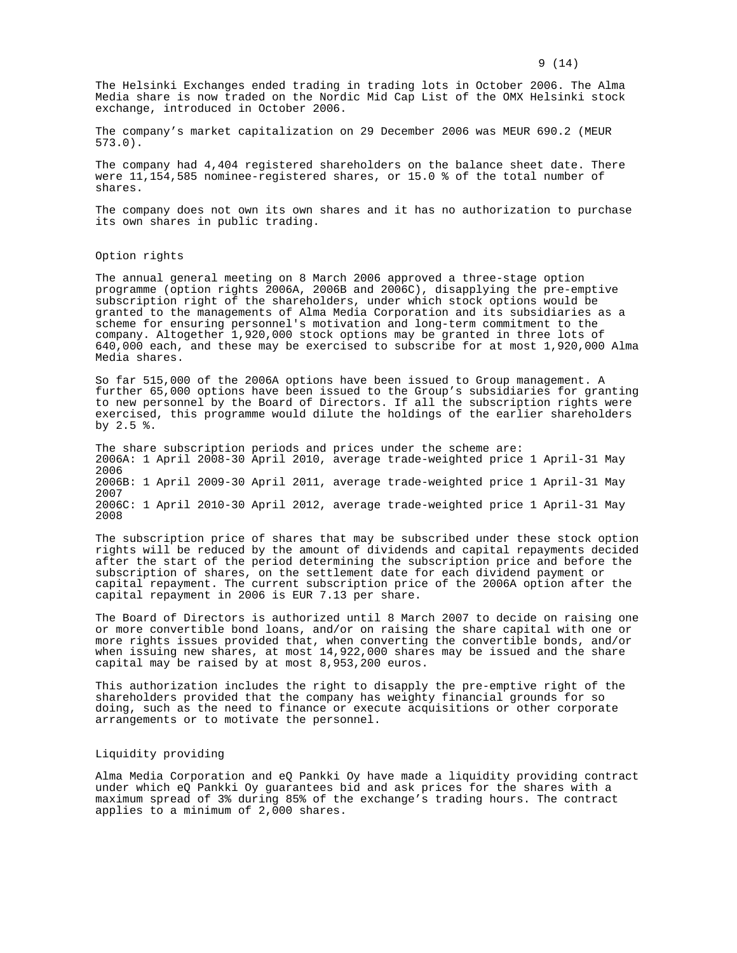The Helsinki Exchanges ended trading in trading lots in October 2006. The Alma Media share is now traded on the Nordic Mid Cap List of the OMX Helsinki stock exchange, introduced in October 2006.

The company's market capitalization on 29 December 2006 was MEUR 690.2 (MEUR 573.0).

The company had 4,404 registered shareholders on the balance sheet date. There were 11,154,585 nominee-registered shares, or 15.0 % of the total number of shares.

The company does not own its own shares and it has no authorization to purchase its own shares in public trading.

Option rights

The annual general meeting on 8 March 2006 approved a three-stage option programme (option rights 2006A, 2006B and 2006C), disapplying the pre-emptive subscription right of the shareholders, under which stock options would be granted to the managements of Alma Media Corporation and its subsidiaries as a scheme for ensuring personnel's motivation and long-term commitment to the company. Altogether 1,920,000 stock options may be granted in three lots of 640,000 each, and these may be exercised to subscribe for at most 1,920,000 Alma Media shares.

So far 515,000 of the 2006A options have been issued to Group management. A further 65,000 options have been issued to the Group's subsidiaries for granting to new personnel by the Board of Directors. If all the subscription rights were exercised, this programme would dilute the holdings of the earlier shareholders by 2.5 %.

The share subscription periods and prices under the scheme are: 2006A: 1 April 2008-30 April 2010, average trade-weighted price 1 April-31 May 2006 2006B: 1 April 2009-30 April 2011, average trade-weighted price 1 April-31 May 2007 2006C: 1 April 2010-30 April 2012, average trade-weighted price 1 April-31 May 2008

The subscription price of shares that may be subscribed under these stock option rights will be reduced by the amount of dividends and capital repayments decided after the start of the period determining the subscription price and before the subscription of shares, on the settlement date for each dividend payment or capital repayment. The current subscription price of the 2006A option after the capital repayment in 2006 is EUR 7.13 per share.

The Board of Directors is authorized until 8 March 2007 to decide on raising one or more convertible bond loans, and/or on raising the share capital with one or more rights issues provided that, when converting the convertible bonds, and/or when issuing new shares, at most 14,922,000 shares may be issued and the share capital may be raised by at most 8,953,200 euros.

This authorization includes the right to disapply the pre-emptive right of the shareholders provided that the company has weighty financial grounds for so doing, such as the need to finance or execute acquisitions or other corporate arrangements or to motivate the personnel.

# Liquidity providing

Alma Media Corporation and eQ Pankki Oy have made a liquidity providing contract under which eQ Pankki Oy guarantees bid and ask prices for the shares with a maximum spread of 3% during 85% of the exchange's trading hours. The contract applies to a minimum of 2,000 shares.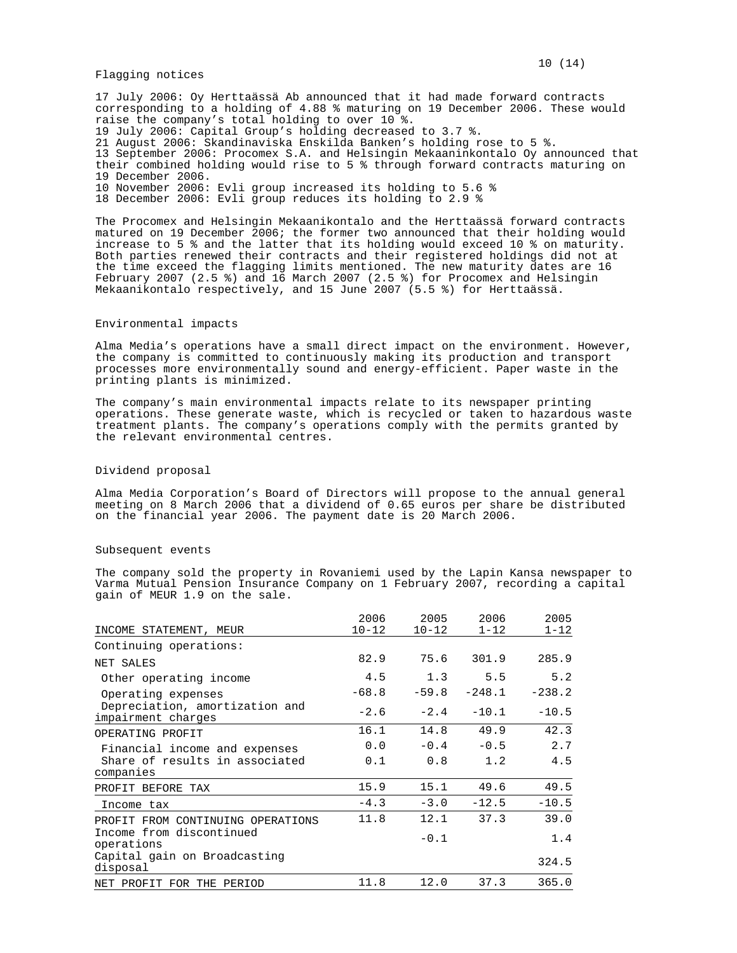Flagging notices

17 July 2006: Oy Herttaässä Ab announced that it had made forward contracts corresponding to a holding of 4.88 % maturing on 19 December 2006. These would raise the company's total holding to over 10 %. 19 July 2006: Capital Group's holding decreased to 3.7 %. 21 August 2006: Skandinaviska Enskilda Banken's holding rose to 5 %. 13 September 2006: Procomex S.A. and Helsingin Mekaaninkontalo Oy announced that their combined holding would rise to 5 % through forward contracts maturing on 19 December 2006. 10 November 2006: Evli group increased its holding to 5.6 % 18 December 2006: Evli group reduces its holding to 2.9 %

The Procomex and Helsingin Mekaanikontalo and the Herttaässä forward contracts matured on 19 December 2006; the former two announced that their holding would increase to 5 % and the latter that its holding would exceed 10 % on maturity. Both parties renewed their contracts and their registered holdings did not at the time exceed the flagging limits mentioned. The new maturity dates are 16 February 2007 (2.5 %) and 16 March 2007 (2.5 %) for Procomex and Helsingin Mekaanikontalo respectively, and 15 June 2007 (5.5 %) for Herttaässä.

# Environmental impacts

Alma Media's operations have a small direct impact on the environment. However, the company is committed to continuously making its production and transport processes more environmentally sound and energy-efficient. Paper waste in the printing plants is minimized.

The company's main environmental impacts relate to its newspaper printing operations. These generate waste, which is recycled or taken to hazardous waste treatment plants. The company's operations comply with the permits granted by the relevant environmental centres.

# Dividend proposal

Alma Media Corporation's Board of Directors will propose to the annual general meeting on 8 March 2006 that a dividend of 0.65 euros per share be distributed on the financial year 2006. The payment date is 20 March 2006.

# Subsequent events

The company sold the property in Rovaniemi used by the Lapin Kansa newspaper to Varma Mutual Pension Insurance Company on 1 February 2007, recording a capital gain of MEUR 1.9 on the sale.

|                                                      | 2006      | 2005      | 2006     | 2005     |
|------------------------------------------------------|-----------|-----------|----------|----------|
| INCOME STATEMENT, MEUR                               | $10 - 12$ | $10 - 12$ | $1 - 12$ | $1 - 12$ |
| Continuing operations:                               |           |           |          |          |
| NET SALES                                            | 82.9      | 75.6      | 301.9    | 285.9    |
| Other operating income                               | 4.5       | 1.3       | 5.5      | 5.2      |
| Operating expenses                                   | $-68.8$   | $-59.8$   | $-248.1$ | $-238.2$ |
| Depreciation, amortization and<br>impairment charges | $-2.6$    | $-2.4$    | $-10.1$  | $-10.5$  |
| OPERATING PROFIT                                     | 16.1      | 14.8      | 49.9     | 42.3     |
| Financial income and expenses                        | 0.0       | $-0.4$    | $-0.5$   | 2.7      |
| Share of results in associated<br>companies          | 0.1       | 0.8       | 1.2      | 4.5      |
| PROFIT BEFORE TAX                                    | 15.9      | 15.1      | 49.6     | 49.5     |
| Income tax                                           | $-4.3$    | $-3.0$    | $-12.5$  | $-10.5$  |
| PROFIT FROM CONTINUING OPERATIONS                    | 11.8      | 12.1      | 37.3     | 39.0     |
| Income from discontinued<br>operations               |           | $-0.1$    |          | 1.4      |
| Capital gain on Broadcasting<br>disposal             |           |           |          | 324.5    |
| NET PROFIT FOR THE PERIOD                            | 11.8      | 12.0      | 37.3     | 365.0    |

### $10(14)$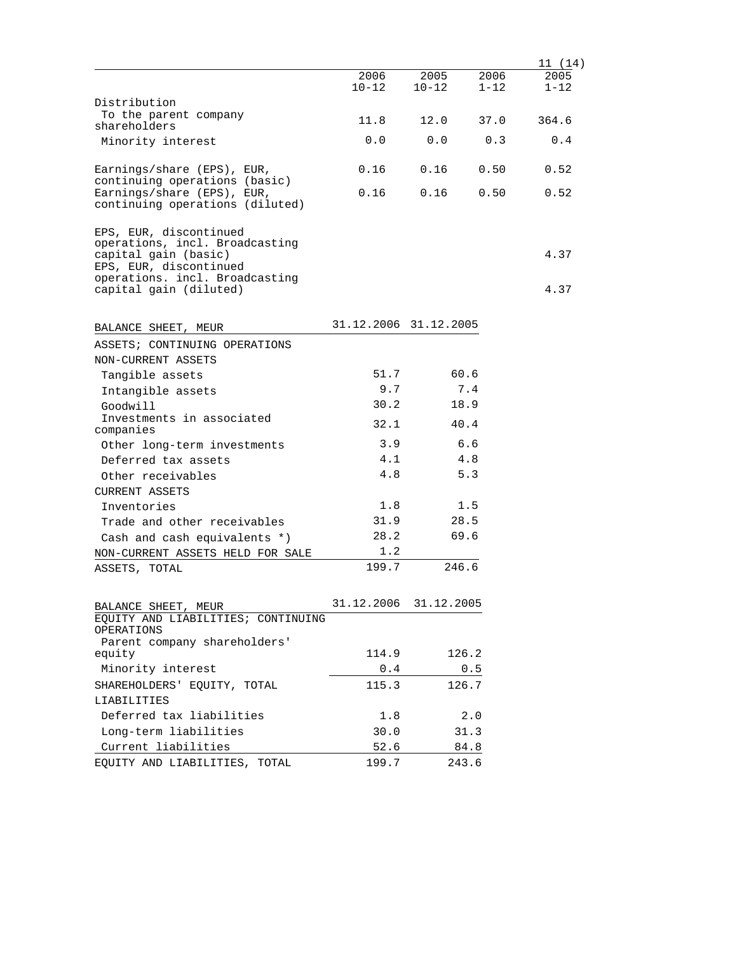|                                                                                                                                                                        |                       |                   |                  | 11 (14)          |
|------------------------------------------------------------------------------------------------------------------------------------------------------------------------|-----------------------|-------------------|------------------|------------------|
|                                                                                                                                                                        | 2006<br>$10 - 12$     | 2005<br>$10 - 12$ | 2006<br>$1 - 12$ | 2005<br>$1 - 12$ |
| Distribution                                                                                                                                                           |                       |                   |                  |                  |
| To the parent company                                                                                                                                                  | 11.8                  | 12.0              | 37.0             | 364.6            |
| shareholders                                                                                                                                                           |                       |                   |                  |                  |
| Minority interest                                                                                                                                                      | 0.0                   | 0.0               | 0.3              | 0.4              |
| Earnings/share (EPS), EUR,<br>continuing operations (basic)                                                                                                            | 0.16                  | 0.16              | 0.50             | 0.52             |
| Earnings/share (EPS), EUR,<br>continuing operations (diluted)                                                                                                          | 0.16                  | 0.16              | 0.50             | 0.52             |
| EPS, EUR, discontinued<br>operations, incl. Broadcasting<br>capital gain (basic)<br>EPS, EUR, discontinued<br>operations. incl. Broadcasting<br>capital gain (diluted) |                       |                   |                  | 4.37<br>4.37     |
|                                                                                                                                                                        |                       |                   |                  |                  |
| BALANCE SHEET, MEUR                                                                                                                                                    | 31.12.2006 31.12.2005 |                   |                  |                  |
| ASSETS; CONTINUING OPERATIONS                                                                                                                                          |                       |                   |                  |                  |
| NON-CURRENT ASSETS                                                                                                                                                     |                       |                   |                  |                  |
| Tangible assets                                                                                                                                                        | 51.7                  | 60.6              |                  |                  |
| Intangible assets                                                                                                                                                      | 9.7                   |                   | 7.4              |                  |
| Goodwill                                                                                                                                                               | 30.2                  | 18.9              |                  |                  |
| Investments in associated<br>companies                                                                                                                                 | 32.1                  | 40.4              |                  |                  |
| Other long-term investments                                                                                                                                            | 3.9                   |                   | 6.6              |                  |
| Deferred tax assets                                                                                                                                                    | 4.1                   |                   | 4.8              |                  |
| Other receivables                                                                                                                                                      | 4.8                   |                   | 5.3              |                  |
| <b>CURRENT ASSETS</b>                                                                                                                                                  |                       |                   |                  |                  |
| Inventories                                                                                                                                                            | 1.8                   |                   | 1.5              |                  |
| Trade and other receivables                                                                                                                                            | 31.9                  | 28.5              |                  |                  |
| Cash and cash equivalents *)                                                                                                                                           | 28.2                  | 69.6              |                  |                  |
| NON-CURRENT ASSETS HELD FOR SALE                                                                                                                                       | 1.2                   |                   |                  |                  |
| ASSETS, TOTAL                                                                                                                                                          | 199.7                 | 246.6             |                  |                  |
| BALANCE SHEET, MEUR                                                                                                                                                    | 31.12.2006            | 31.12.2005        |                  |                  |
| EQUITY AND LIABILITIES; CONTINUING<br>OPERATIONS                                                                                                                       |                       |                   |                  |                  |
| Parent company shareholders'                                                                                                                                           |                       |                   |                  |                  |
| equity                                                                                                                                                                 | 114.9                 | 126.2             |                  |                  |
| Minority interest                                                                                                                                                      | 0.4                   |                   | 0.5              |                  |
| SHAREHOLDERS' EQUITY, TOTAL                                                                                                                                            | 115.3                 | 126.7             |                  |                  |
| LIABILITIES                                                                                                                                                            |                       |                   |                  |                  |
| Deferred tax liabilities                                                                                                                                               | 1.8                   |                   | 2.0              |                  |
| Long-term liabilities                                                                                                                                                  | 30.0                  |                   | 31.3             |                  |
| Current liabilities                                                                                                                                                    | 52.6                  |                   | 84.8             |                  |
| EQUITY AND LIABILITIES, TOTAL                                                                                                                                          | 199.7                 | 243.6             |                  |                  |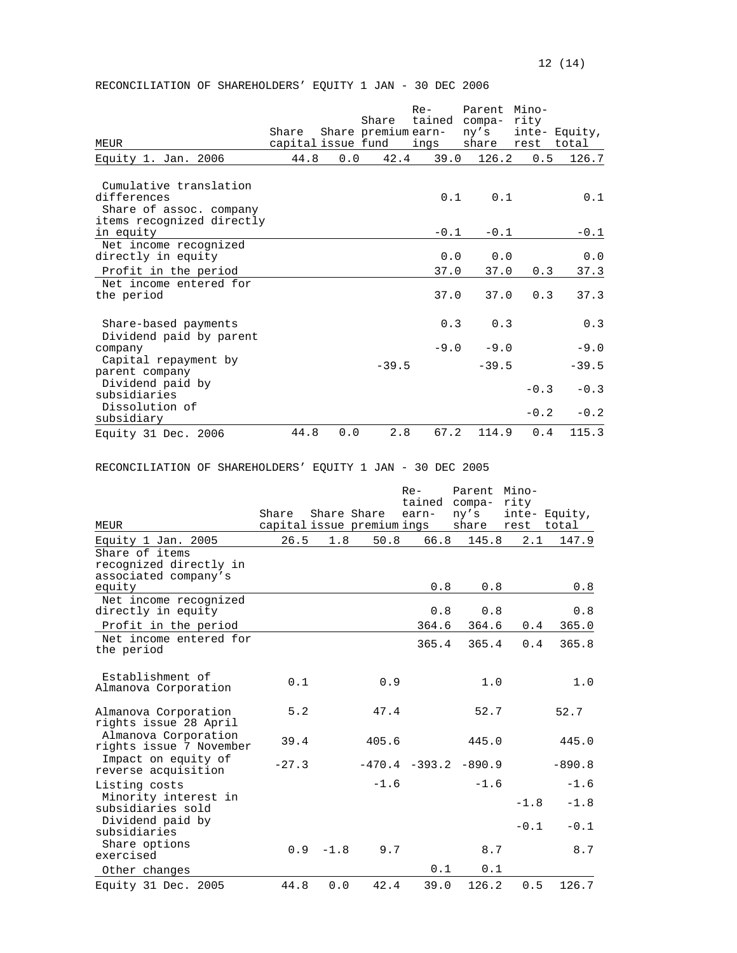# RECONCILIATION OF SHAREHOLDERS' EQUITY 1 JAN - 30 DEC 2006

| MEUR                                                                                          | Share<br>capital issue fund |     | Share<br>Share premium earn- | $Re-$<br>tained<br>ings | Parent Mino-<br>compa-<br>ny's<br>share | rity<br>rest total | inte- Equity, |
|-----------------------------------------------------------------------------------------------|-----------------------------|-----|------------------------------|-------------------------|-----------------------------------------|--------------------|---------------|
| Equity 1. Jan. 2006                                                                           | 44.8                        | 0.0 | 42.4                         | 39.0                    | 126.2                                   | 0.5                | 126.7         |
| Cumulative translation<br>differences<br>Share of assoc. company<br>items recognized directly |                             |     |                              | 0.1                     | 0.1                                     |                    | 0.1           |
| in equity                                                                                     |                             |     |                              | $-0.1$                  | $-0.1$                                  |                    | $-0.1$        |
| Net income recognized<br>directly in equity<br>Profit in the period                           |                             |     |                              | 0.0<br>37.0             | 0.0<br>37.0                             | 0.3                | 0.0<br>37.3   |
| Net income entered for<br>the period                                                          |                             |     |                              | 37.0                    | 37.0                                    | 0.3                | 37.3          |
| Share-based payments<br>Dividend paid by parent                                               |                             |     |                              | 0.3                     | 0.3                                     |                    | 0.3           |
| company                                                                                       |                             |     |                              | $-9.0$                  | $-9.0$                                  |                    | $-9.0$        |
| Capital repayment by<br>parent company                                                        |                             |     | $-39.5$                      |                         | $-39.5$                                 |                    | $-39.5$       |
| Dividend paid by<br>subsidiaries                                                              |                             |     |                              |                         |                                         | $-0.3$             | $-0.3$        |
| Dissolution of<br>subsidiary                                                                  |                             |     |                              |                         |                                         | $-0.2$             | $-0.2$        |
| Equity 31 Dec. 2006                                                                           | 44.8                        | 0.0 | 2.8                          | 67.2                    | 114.9                                   | 0.4                | 115.3         |

RECONCILIATION OF SHAREHOLDERS' EQUITY 1 JAN - 30 DEC 2005

|                                                                  |         |             |                            | $Re-$ | Parent<br>tained compa- | Mino-<br>rity |               |
|------------------------------------------------------------------|---------|-------------|----------------------------|-------|-------------------------|---------------|---------------|
| MEUR                                                             | Share   | Share Share | capital issue premium ings | earn- | ny's<br>share           | rest total    | inte- Equity, |
| Equity 1 Jan. 2005                                               | 26.5    | 1.8         | 50.8                       | 66.8  | 145.8                   | 2.1           | 147.9         |
| Share of items<br>recognized directly in<br>associated company's |         |             |                            |       |                         |               |               |
| equity                                                           |         |             |                            | 0.8   | 0.8                     |               | 0.8           |
| Net income recognized<br>directly in equity                      |         |             |                            | 0.8   | 0.8                     |               | 0.8           |
| Profit in the period                                             |         |             |                            | 364.6 | 364.6                   | 0.4           | 365.0         |
| Net income entered for<br>the period                             |         |             |                            | 365.4 | 365.4                   | 0.4           | 365.8         |
| Establishment of<br>Almanova Corporation                         | 0.1     |             | 0.9                        |       | 1.0                     |               | 1.0           |
| Almanova Corporation<br>rights issue 28 April                    | 5.2     |             | 47.4                       |       | 52.7                    |               | 52.7          |
| Almanova Corporation<br>rights issue 7 November                  | 39.4    |             | 405.6                      |       | 445.0                   |               | 445.0         |
| Impact on equity of<br>reverse acquisition                       | $-27.3$ |             |                            |       | $-470.4 -393.2 -890.9$  |               | $-890.8$      |
| Listing costs                                                    |         |             | $-1.6$                     |       | $-1.6$                  |               | $-1.6$        |
| Minority interest in<br>subsidiaries sold                        |         |             |                            |       |                         | $-1.8$        | $-1.8$        |
| Dividend paid by<br>subsidiaries                                 |         |             |                            |       |                         | $-0.1$        | $-0.1$        |
| Share options<br>exercised                                       | 0.9     | $-1.8$      | 9.7                        |       | 8.7                     |               | 8.7           |
| Other changes                                                    |         |             |                            | 0.1   | 0.1                     |               |               |
| Equity 31 Dec. 2005                                              | 44.8    | 0.0         | 42.4                       | 39.0  | 126.2                   | 0.5           | 126.7         |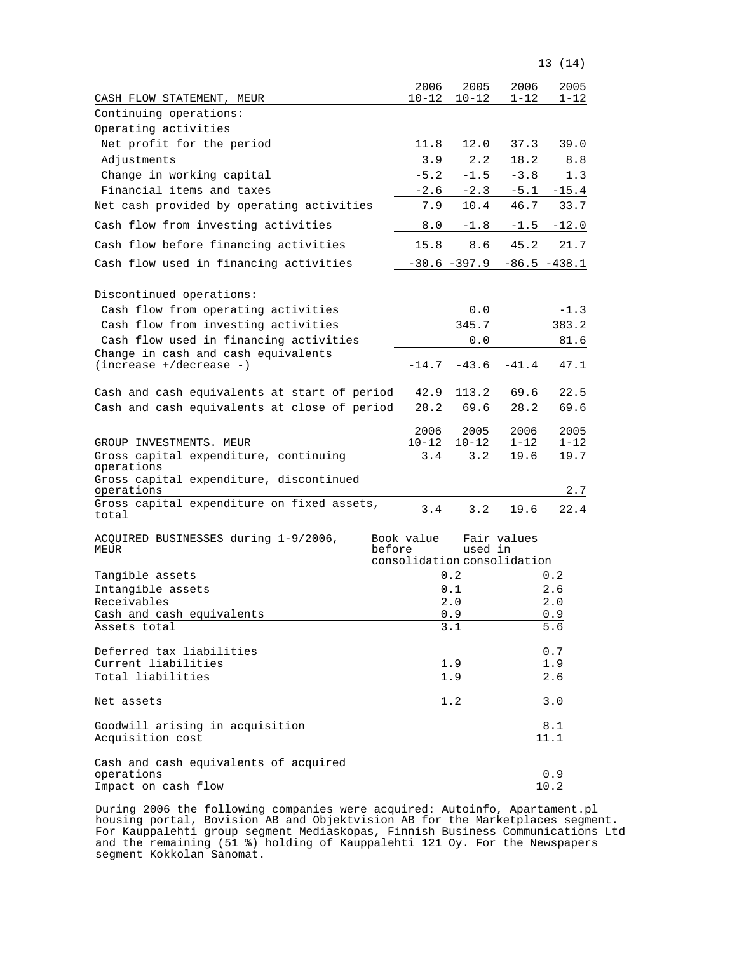|                                                          |                             |                   |                  | 13 (14)         |
|----------------------------------------------------------|-----------------------------|-------------------|------------------|-----------------|
|                                                          | 2006                        | 2005              | 2006             | 2005            |
| CASH FLOW STATEMENT, MEUR                                | $10 - 12$                   | $10 - 12$         | $1 - 12$         | 1-12            |
| Continuing operations:                                   |                             |                   |                  |                 |
| Operating activities                                     |                             |                   |                  |                 |
| Net profit for the period                                | 11.8                        | 12.0              | 37.3             | 39.0            |
| Adjustments                                              | 3.9                         | 2.2               | 18.2             | 8.8             |
| Change in working capital                                | $-5.2$                      | $-1.5$            | $-3.8$           | 1.3             |
| Financial items and taxes                                | $-2.6$                      | $-2.3$            | $-5.1$           | $-15.4$         |
| Net cash provided by operating activities                | 7.9                         | 10.4              | 46.7             | 33.7            |
| Cash flow from investing activities                      | 8.0                         | $-1.8$            | $-1.5$           | $-12.0$         |
| Cash flow before financing activities                    | 15.8                        | 8.6               | 45.2             | 21.7            |
| Cash flow used in financing activities                   |                             | $-30.6 - 397.9$   |                  | $-86.5 - 438.1$ |
|                                                          |                             |                   |                  |                 |
| Discontinued operations:                                 |                             |                   |                  |                 |
| Cash flow from operating activities                      |                             | 0.0               |                  | $-1.3$          |
| Cash flow from investing activities                      |                             | 345.7             |                  | 383.2           |
| Cash flow used in financing activities                   |                             | 0.0               |                  | 81.6            |
| Change in cash and cash equivalents                      |                             |                   |                  |                 |
| $(increase +/decrease -)$                                | $-14.7$                     | $-43.6$           | $-41.4$          | 47.1            |
| Cash and cash equivalents at start of period             | 42.9                        | 113.2             | 69.6             | 22.5            |
| Cash and cash equivalents at close of period             | 28.2                        | 69.6              | 28.2             | 69.6            |
|                                                          |                             |                   |                  | 2005            |
| GROUP INVESTMENTS. MEUR                                  | 2006<br>$10 - 12$           | 2005<br>$10 - 12$ | 2006<br>$1 - 12$ | 1-12            |
| Gross capital expenditure, continuing                    | 3.4                         | 3.2               | 19.6             | 19.7            |
| operations                                               |                             |                   |                  |                 |
| Gross capital expenditure, discontinued                  |                             |                   |                  |                 |
| operations<br>Gross capital expenditure on fixed assets, |                             |                   |                  | 2.7             |
| total                                                    | 3.4                         | 3.2               | 19.6             | 22.4            |
| ACQUIRED BUSINESSES during 1-9/2006,                     | Book value                  |                   | Fair values      |                 |
| MEUR                                                     | before                      | used in           |                  |                 |
|                                                          | consolidation consolidation |                   |                  |                 |
| Tangible assets                                          |                             | 0.2               |                  | 0.2             |
| Intangible assets                                        |                             | 0.1               |                  | 2.6             |
| Receivables                                              |                             | 2.0               |                  | 2.0             |
| Cash and cash equivalents<br>Assets total                |                             | 0.9<br>3.1        |                  | 0.9<br>5.6      |
|                                                          |                             |                   |                  |                 |
| Deferred tax liabilities                                 |                             |                   |                  | 0.7             |
| Current liabilities                                      |                             | 1.9               |                  | 1.9             |
| Total liabilities                                        |                             | 1.9               |                  | 2.6             |
| Net assets                                               |                             | 1.2               |                  | 3.0             |
| Goodwill arising in acquisition                          |                             |                   |                  | 8.1             |
| Acquisition cost                                         |                             |                   |                  | 11.1            |
| Cash and cash equivalents of acquired                    |                             |                   |                  |                 |
| operations                                               |                             |                   |                  | 0.9             |
| Impact on cash flow                                      |                             |                   |                  | 10.2            |

During 2006 the following companies were acquired: Autoinfo, Apartament.pl housing portal, Bovision AB and Objektvision AB for the Marketplaces segment. For Kauppalehti group segment Mediaskopas, Finnish Business Communications Ltd and the remaining (51 %) holding of Kauppalehti 121 Oy. For the Newspapers segment Kokkolan Sanomat.